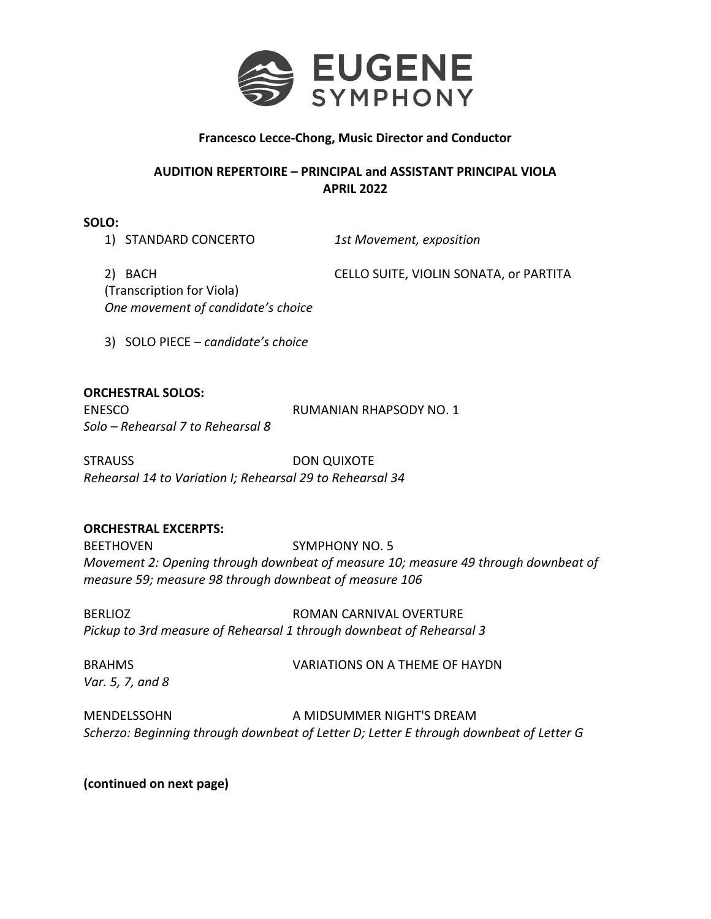

## **Francesco Lecce-Chong, Music Director and Conductor**

## **AUDITION REPERTOIRE – PRINCIPAL and ASSISTANT PRINCIPAL VIOLA APRIL 2022**

**SOLO:**

1) STANDARD CONCERTO *1st Movement, exposition* 

2) BACH CELLO SUITE, VIOLIN SONATA, or PARTITA (Transcription for Viola) *One movement of candidate's choice*

3) SOLO PIECE – *candidate's choice*

## **ORCHESTRAL SOLOS:**

*Solo – Rehearsal 7 to Rehearsal 8*

ENESCO RUMANIAN RHAPSODY NO. 1

STRAUSS DON QUIXOTE *Rehearsal 14 to Variation I; Rehearsal 29 to Rehearsal 34*

## **ORCHESTRAL EXCERPTS:**

BEETHOVEN SYMPHONY NO. 5 *Movement 2: Opening through downbeat of measure 10; measure 49 through downbeat of measure 59; measure 98 through downbeat of measure 106*

BERLIOZ ROMAN CARNIVAL OVERTURE *Pickup to 3rd measure of Rehearsal 1 through downbeat of Rehearsal 3*

*Var. 5, 7, and 8*

BRAHMS VARIATIONS ON A THEME OF HAYDN

MENDELSSOHN A MIDSUMMER NIGHT'S DREAM *Scherzo: Beginning through downbeat of Letter D; Letter E through downbeat of Letter G*

**(continued on next page)**